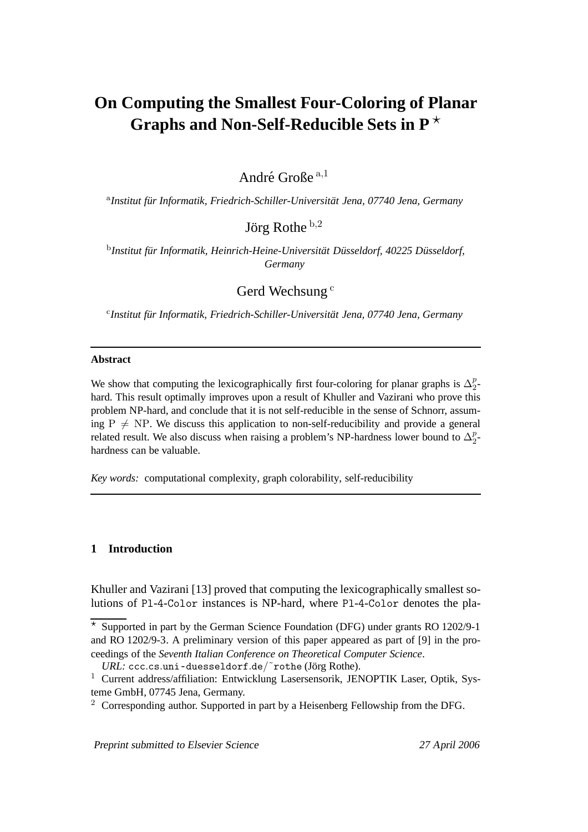# **On Computing the Smallest Four-Coloring of Planar Graphs and Non-Self-Reducible Sets in P** ?

André Große <sup>a,1</sup>

<sup>a</sup>Institut für Informatik, Friedrich-Schiller-Universität Jena, 07740 Jena, Germany

Jörg Rothe  $^{\rm b,2}$ 

 $^{\rm b}$ Institut für Informatik, Heinrich-Heine-Universität Düsseldorf, 40225 Düsseldorf, *Germany*

Gerd Wechsung<sup>c</sup>

<sup>c</sup>Institut für Informatik, Friedrich-Schiller-Universität Jena, 07740 Jena, Germany

#### **Abstract**

We show that computing the lexicographically first four-coloring for planar graphs is  $\Delta_2^p$  $\frac{p}{2}$ hard. This result optimally improves upon a result of Khuller and Vazirani who prove this problem NP-hard, and conclude that it is not self-reducible in the sense of Schnorr, assuming  $P \neq NP$ . We discuss this application to non-self-reducibility and provide a general related result. We also discuss when raising a problem's NP-hardness lower bound to  $\Delta_2^p$  $\frac{p}{2}$ hardness can be valuable.

*Key words:* computational complexity, graph colorability, self-reducibility

## **1 Introduction**

Khuller and Vazirani [13] proved that computing the lexicographically smallest solutions of Pl-4-Color instances is NP-hard, where Pl-4-Color denotes the pla-

Preprint submitted to Elsevier Science <sup>27</sup> April <sup>2006</sup>

 $\overline{\star}$  Supported in part by the German Science Foundation (DFG) under grants RO 1202/9-1 and RO 1202/9-3. A preliminary version of this paper appeared as part of [9] in the proceedings of the *Seventh Italian Conference on Theoretical Computer Science*.

*URL:* ccc.cs.uni-duesseldorf.de/~rothe (Jörg Rothe).

<sup>&</sup>lt;sup>1</sup> Current address/affiliation: Entwicklung Lasersensorik, JENOPTIK Laser, Optik, Systeme GmbH, 07745 Jena, Germany.

<sup>&</sup>lt;sup>2</sup> Corresponding author. Supported in part by a Heisenberg Fellowship from the DFG.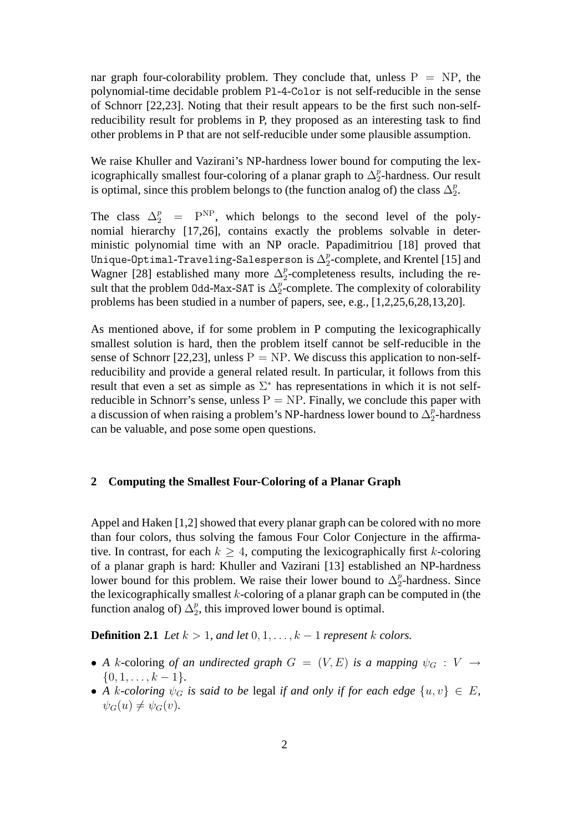nar graph four-colorability problem. They conclude that, unless  $P = NP$ , the polynomial-time decidable problem Pl-4-Color is not self-reducible in the sense of Schnorr [22,23]. Noting that their result appears to be the first such non-selfreducibility result for problems in P, they proposed as an interesting task to find other problems in P that are not self-reducible under some plausible assumption.

We raise Khuller and Vazirani's NP-hardness lower bound for computing the lexicographically smallest four-coloring of a planar graph to  $\Delta^p_2$  $_2^p$ -hardness. Our result is optimal, since this problem belongs to (the function analog of) the class  $\Delta_2^p$  $\frac{p}{2}$ .

The class  $\Delta_2^p$  =  $P^{NP}$ , which belongs to the second level of the polynomial hierarchy [17,26], contains exactly the problems solvable in deterministic polynomial time with an NP oracle. Papadimitriou [18] proved that Unique-Optimal-Traveling-Salesperson is  $\Delta^p_2$  $\frac{p}{2}$ -complete, and Krentel [15] and Wagner [28] established many more  $\Delta_2^p$  $_2^p$ -completeness results, including the result that the problem 0dd-Max-SAT is  $\Delta_2^p$  $\frac{p}{2}$ -complete. The complexity of colorability problems has been studied in a number of papers, see, e.g., [1,2,25,6,28,13,20].

As mentioned above, if for some problem in P computing the lexicographically smallest solution is hard, then the problem itself cannot be self-reducible in the sense of Schnorr [22,23], unless  $P = NP$ . We discuss this application to non-selfreducibility and provide a general related result. In particular, it follows from this result that even a set as simple as  $\Sigma^*$  has representations in which it is not selfreducible in Schnorr's sense, unless  $P = NP$ . Finally, we conclude this paper with a discussion of when raising a problem's NP-hardness lower bound to  $\Delta^p_2$  $_2^p$ -hardness can be valuable, and pose some open questions.

# **2 Computing the Smallest Four-Coloring of a Planar Graph**

Appel and Haken [1,2] showed that every planar graph can be colored with no more than four colors, thus solving the famous Four Color Conjecture in the affirmative. In contrast, for each  $k > 4$ , computing the lexicographically first k-coloring of a planar graph is hard: Khuller and Vazirani [13] established an NP-hardness lower bound for this problem. We raise their lower bound to  $\Delta_2^p$  $_2^p$ -hardness. Since the lexicographically smallest  $k$ -coloring of a planar graph can be computed in (the function analog of)  $\Delta_2^p$  $_2^p$ , this improved lower bound is optimal.

**Definition 2.1** *Let*  $k > 1$ *, and let*  $0, 1, \ldots, k - 1$  *represent*  $k$  *colors.* 

- *A* k-coloring *of an undirected graph*  $G = (V, E)$  *is a mapping*  $\psi_G : V \to$  $\{0, 1, \ldots, k-1\}.$
- *A k*-coloring  $\psi_G$  is said to be legal if and only if for each edge  $\{u, v\} \in E$ ,  $\psi_G(u) \neq \psi_G(v)$ .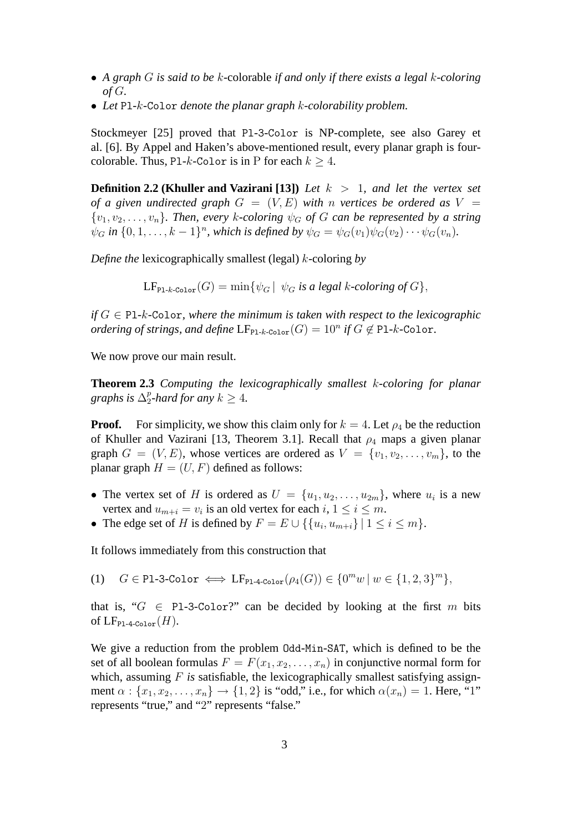- *A graph* G *is said to be* k-colorable *if and only if there exists a legal* k*-coloring of* G*.*
- *Let* Pl*-*k*-*Color *denote the planar graph* k*-colorability problem.*

Stockmeyer [25] proved that Pl-3-Color is NP-complete, see also Garey et al. [6]. By Appel and Haken's above-mentioned result, every planar graph is fourcolorable. Thus, P1-k-Color is in P for each  $k > 4$ .

**Definition 2.2 (Khuller and Vazirani [13])** *Let* k > 1*, and let the vertex set of a given undirected graph*  $G = (V, E)$  *with n vertices be ordered as*  $V =$  $\{v_1, v_2, \ldots, v_n\}$ . Then, every k-coloring  $\psi_G$  of G can be represented by a string  $\psi_G$  *in*  $\{0, 1, \ldots, k-1\}^n$ , which is defined by  $\psi_G = \psi_G(v_1)\psi_G(v_2)\cdots\psi_G(v_n)$ .

*Define the* lexicographically smallest (legal) k-coloring *by*

 $LF_{\text{PLk.Color}}(G) = \min \{ \psi_G \mid \psi_G \text{ is a legal } k\text{-coloring of } G \}.$ 

*if*  $G \in \text{Pl-}k\text{-}\text{Color}$ *, where the minimum is taken with respect to the lexicographic ordering of strings, and define*  $LF_{\text{PL-}k\text{-}\text{Color}}(G) = 10^n$  *if*  $G \notin \text{PL-}k\text{-}\text{Color}$ .

We now prove our main result.

**Theorem 2.3** *Computing the lexicographically smallest* k*-coloring for planar* graphs is  $\Delta^p_2$  $_{2}^{p}$ -hard for any  $k \geq 4$ .

**Proof.** For simplicity, we show this claim only for  $k = 4$ . Let  $\rho_4$  be the reduction of Khuller and Vazirani [13, Theorem 3.1]. Recall that  $\rho_4$  maps a given planar graph  $G = (V, E)$ , whose vertices are ordered as  $V = \{v_1, v_2, \ldots, v_m\}$ , to the planar graph  $H = (U, F)$  defined as follows:

- The vertex set of H is ordered as  $U = \{u_1, u_2, \ldots, u_{2m}\}\$ , where  $u_i$  is a new vertex and  $u_{m+i} = v_i$  is an old vertex for each  $i, 1 \le i \le m$ .
- The edge set of H is defined by  $F = E \cup \{\{u_i, u_{m+i}\} \mid 1 \le i \le m\}$ .

It follows immediately from this construction that

(1)  $G \in \text{Pl-3-Color} \iff \text{LF}_{\text{Pl-4-Color}}(\rho_4(G)) \in \{0^m w \mid w \in \{1, 2, 3\}^m\},$ 

that is, " $G \in$  Pl-3-Color?" can be decided by looking at the first m bits of  $LF_{\text{Pl-4-Color}}(H)$ .

We give a reduction from the problem Odd-Min-SAT, which is defined to be the set of all boolean formulas  $F = F(x_1, x_2, \dots, x_n)$  in conjunctive normal form for which, assuming F is satisfiable, the lexicographically smallest satisfying assignment  $\alpha$ :  $\{x_1, x_2, \ldots, x_n\}$   $\rightarrow$   $\{1, 2\}$  is "odd," i.e., for which  $\alpha(x_n) = 1$ . Here, "1" represents "true," and "2" represents "false."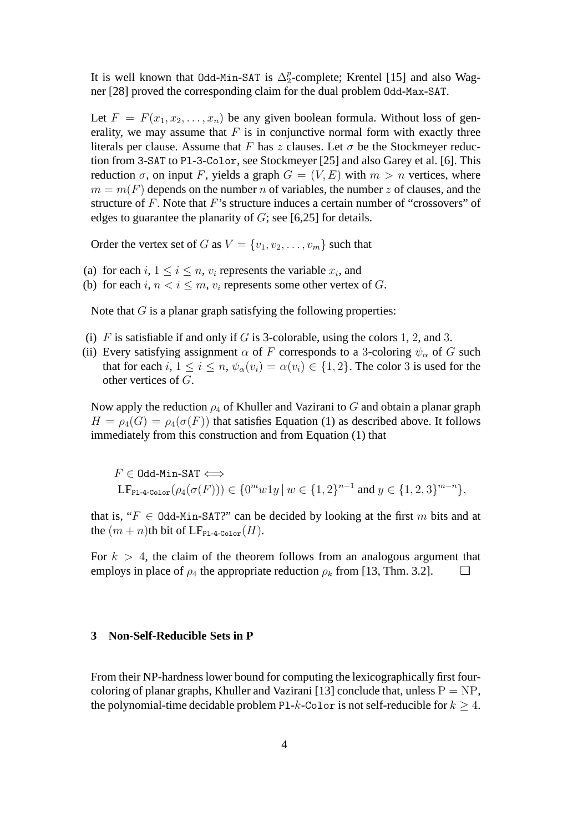It is well known that 0dd-Min-SAT is  $\Delta_2^p$  $_2^p$ -complete; Krentel [15] and also Wagner [28] proved the corresponding claim for the dual problem Odd-Max-SAT.

Let  $F = F(x_1, x_2, \ldots, x_n)$  be any given boolean formula. Without loss of generality, we may assume that  $F$  is in conjunctive normal form with exactly three literals per clause. Assume that F has z clauses. Let  $\sigma$  be the Stockmeyer reduction from 3-SAT to Pl-3-Color, see Stockmeyer [25] and also Garey et al. [6]. This reduction  $\sigma$ , on input F, yields a graph  $G = (V, E)$  with  $m > n$  vertices, where  $m = m(F)$  depends on the number n of variables, the number z of clauses, and the structure of  $F$ . Note that  $F$ 's structure induces a certain number of "crossovers" of edges to guarantee the planarity of  $G$ ; see [6,25] for details.

Order the vertex set of G as  $V = \{v_1, v_2, \dots, v_m\}$  such that

- (a) for each  $i, 1 \le i \le n$ ,  $v_i$  represents the variable  $x_i$ , and
- (b) for each i,  $n < i \leq m$ ,  $v_i$  represents some other vertex of G.

Note that  $G$  is a planar graph satisfying the following properties:

- (i) F is satisfiable if and only if G is 3-colorable, using the colors 1, 2, and 3.
- (ii) Every satisfying assignment  $\alpha$  of F corresponds to a 3-coloring  $\psi_{\alpha}$  of G such that for each i,  $1 \le i \le n$ ,  $\psi_{\alpha}(v_i) = \alpha(v_i) \in \{1, 2\}$ . The color 3 is used for the other vertices of G.

Now apply the reduction  $\rho_4$  of Khuller and Vazirani to G and obtain a planar graph  $H = \rho_4(G) = \rho_4(\sigma(F))$  that satisfies Equation (1) as described above. It follows immediately from this construction and from Equation (1) that

 $F \in$  Odd-Min-SAT  $\Longleftrightarrow$ LF<sub>P1-4-Color</sub>  $(\rho_4(\sigma(F))) \in \{0^m w 1y \mid w \in \{1, 2\}^{n-1} \text{ and } y \in \{1, 2, 3\}^{m-n} \},$ 

that is, " $F \in \text{Odd-Min-SAT?"}$  can be decided by looking at the first m bits and at the  $(m + n)$ th bit of LF<sub>P1-4-Color</sub> $(H)$ .

For  $k > 4$ , the claim of the theorem follows from an analogous argument that employs in place of  $\rho_4$  the appropriate reduction  $\rho_k$  from [13, Thm. 3.2].  $\Box$ 

## **3 Non-Self-Reducible Sets in P**

From their NP-hardness lower bound for computing the lexicographically first fourcoloring of planar graphs, Khuller and Vazirani [13] conclude that, unless  $P = NP$ , the polynomial-time decidable problem P1-k-Color is not self-reducible for  $k \geq 4$ .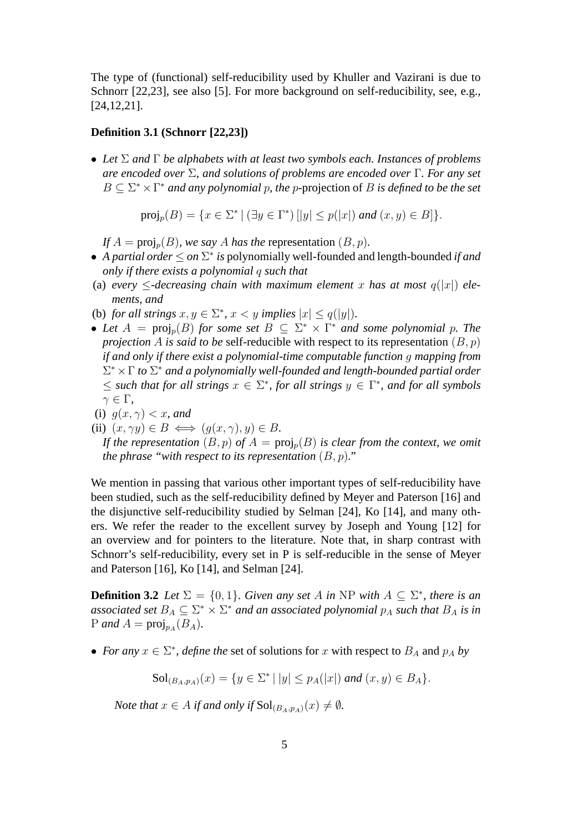The type of (functional) self-reducibility used by Khuller and Vazirani is due to Schnorr [22,23], see also [5]. For more background on self-reducibility, see, e.g., [24,12,21].

### **Definition 3.1 (Schnorr [22,23])**

• *Let* Σ *and* Γ *be alphabets with at least two symbols each. Instances of problems are encoded over* Σ*, and solutions of problems are encoded over* Γ*. For any set*  $B \subseteq \Sigma^* \times \Gamma^*$  *and any polynomial p, the p*-projection of B *is defined to be the set* 

 $proj_p(B) = \{x \in \Sigma^* \mid (\exists y \in \Gamma^*) \, [|y| \le p(|x|) \text{ and } (x, y) \in B] \}.$ 

*If*  $A = \text{proj}_p(B)$ *, we say A has the representation*  $(B, p)$ *.* 

- *A partial order* ≤ *on* Σ ∗ *is* polynomially well-founded and length-bounded *if and only if there exists a polynomial* q *such that*
- (a) *every*  $\leq$ -decreasing chain with maximum element x has at most  $q(|x|)$  ele*ments, and*

(b) *for all strings*  $x, y \in \Sigma^*$ ,  $x < y$  *implies*  $|x| \leq q(|y|)$ *.* 

- Let  $A = \text{proj}_p(B)$  for some set  $B \subseteq \Sigma^* \times \Gamma^*$  and some polynomial p. The *projection* A *is said to be* self-reducible with respect to its representation  $(B, p)$ *if and only if there exist a polynomial-time computable function* g *mapping from* Σ <sup>∗</sup> ×Γ *to* Σ <sup>∗</sup> *and a polynomially well-founded and length-bounded partial order*  $\leq$  such that for all strings  $x \in \Sigma^*$ , for all strings  $y \in \Gamma^*$ , and for all symbols  $\gamma \in \Gamma$ ,
- (i)  $g(x, \gamma) < x$ , and
- (ii)  $(x, \gamma y) \in B \iff (g(x, \gamma), y) \in B$ .

*If the representation*  $(B, p)$  *of*  $A = \text{proj}_p(B)$  *is clear from the context, we omit the phrase "with respect to its representation*  $(B, p)$ ."

We mention in passing that various other important types of self-reducibility have been studied, such as the self-reducibility defined by Meyer and Paterson [16] and the disjunctive self-reducibility studied by Selman [24], Ko [14], and many others. We refer the reader to the excellent survey by Joseph and Young [12] for an overview and for pointers to the literature. Note that, in sharp contrast with Schnorr's self-reducibility, every set in P is self-reducible in the sense of Meyer and Paterson [16], Ko [14], and Selman [24].

**Definition 3.2** *Let*  $\Sigma = \{0, 1\}$ *. Given any set* A *in* NP *with*  $A \subseteq \Sigma^*$ *, there is an* associated set  $B_A \subseteq \Sigma^* \times \Sigma^*$  and an associated polynomial  $p_A$  such that  $B_A$  is in  $P$  *and*  $A = \text{proj}_{p_A}(B_A)$ .

• *For any*  $x \in \Sigma^*$ , *define the* set of solutions for x with respect to  $B_A$  and  $p_A$  by

$$
Sol_{(B_A, p_A)}(x) = \{ y \in \Sigma^* \mid |y| \le p_A(|x|) \text{ and } (x, y) \in B_A \}.
$$

*Note that*  $x \in A$  *if and only if*  $\text{Sol}_{(B_A,p_A)}(x) \neq \emptyset$ *.*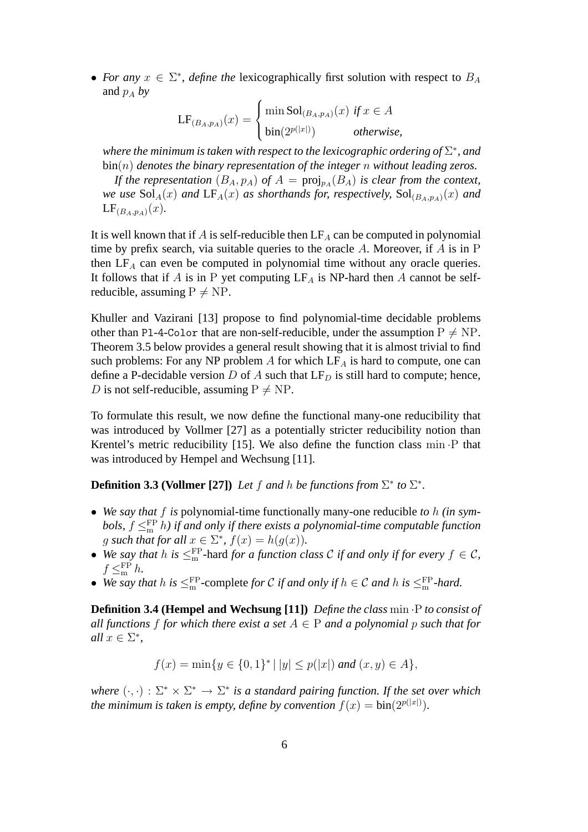• *For any*  $x \in \Sigma^*$ , *define the* lexicographically first solution with respect to  $B_A$ and  $p_A$  *by* 

$$
LF_{(B_A, p_A)}(x) = \begin{cases} \min Sol_{(B_A, p_A)}(x) & \text{if } x \in A \\ \text{bin}(2^{p(|x|)}) & \text{otherwise,} \end{cases}
$$

where the minimum is taken with respect to the lexicographic ordering of  $\Sigma^*$ , and bin(n) *denotes the binary representation of the integer* n *without leading zeros.*

If the representation  $(B_A, p_A)$  of  $A = \text{proj}_{p_A}(B_A)$  is clear from the context, *we use*  $\text{Sol}_A(x)$  *and*  $\text{LF}_A(x)$  *as shorthands for, respectively,*  $\text{Sol}_{(B_A,p_A)}(x)$  *and*  $LF_{(B_A,p_A)}(x)$ .

It is well known that if A is self-reducible then  $LF_A$  can be computed in polynomial time by prefix search, via suitable queries to the oracle A. Moreover, if A is in P then  $LF_A$  can even be computed in polynomial time without any oracle queries. It follows that if A is in P yet computing  $LF_A$  is NP-hard then A cannot be selfreducible, assuming  $P \neq NP$ .

Khuller and Vazirani [13] propose to find polynomial-time decidable problems other than Pl-4-Color that are non-self-reducible, under the assumption  $P \neq NP$ . Theorem 3.5 below provides a general result showing that it is almost trivial to find such problems: For any NP problem A for which  $LF_A$  is hard to compute, one can define a P-decidable version D of A such that  $LF_D$  is still hard to compute; hence, D is not self-reducible, assuming  $P \neq NP$ .

To formulate this result, we now define the functional many-one reducibility that was introduced by Vollmer [27] as a potentially stricter reducibility notion than Krentel's metric reducibility [15]. We also define the function class min ·P that was introduced by Hempel and Wechsung [11].

**Definition 3.3 (Vollmer [27])** *Let*  $f$  *and*  $h$  *be functions from*  $\Sigma^*$  *to*  $\Sigma^*$ *.* 

- *We say that* f *is* polynomial-time functionally many-one reducible *to* h *(in sym*bols,  $f \leq^{\text{FP}}_{\text{m}} h$ ) if and only if there exists a polynomial-time computable function *g* such that for all  $x \in \Sigma^*$ ,  $f(x) = h(g(x))$ .
- We say that h is  $\leq^{\text{FP}}_{m}$ -hard *for a function class* C if and only if for every  $f \in C$ ,  $f \leq^{\text{FP}}_{m} h$ .
- We say that  $h$  is  $\leq^{\text{FP}}_{m}$ -complete *for* C *if and only if*  $h \in \mathcal{C}$  *and*  $h$  *is*  $\leq^{\text{FP}}_{m}$ *-hard.*

**Definition 3.4 (Hempel and Wechsung [11])** *Define the class* min ·P *to consist of all functions* f *for which there exist a set*  $A \in P$  *and a polynomial p such that for*  $all x \in \Sigma^*,$ 

$$
f(x) = \min\{y \in \{0, 1\}^* \mid |y| \le p(|x|) \text{ and } (x, y) \in A\},\
$$

where  $(\cdot, \cdot) : \Sigma^* \times \Sigma^* \to \Sigma^*$  is a standard pairing function. If the set over which *the minimum is taken is empty, define by convention*  $f(x) = bin(2^{p(|x|)})$ .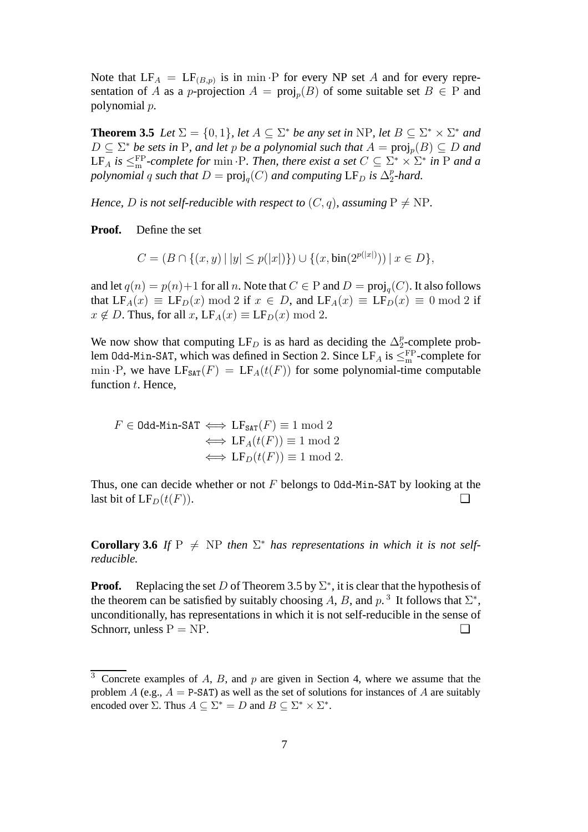Note that  $LF_A = LF_{(B,p)}$  is in min  $\cdot$ P for every NP set A and for every representation of A as a p-projection  $A = \text{proj}_p(B)$  of some suitable set  $B \in \mathbb{P}$  and polynomial p.

**Theorem 3.5** *Let*  $\Sigma = \{0, 1\}$ *, let*  $A \subseteq \Sigma^*$  *be any set in* NP*, let*  $B \subseteq \Sigma^* \times \Sigma^*$  *and*  $D \subseteq \Sigma^*$  *be sets in* P, and let p *be a polynomial such that*  $A = \text{proj}_p(B) \subseteq D$  and LF<sub>A</sub> is  $\leq^{\text{FP}}_{\text{m}}$ *-complete for* min  $\cdot$ P*. Then, there exist a set*  $C \subseteq \Sigma^* \times \Sigma^*$  in P and a *polynomial* q such that  $D = \text{proj}_q(C)$  and computing  $LF_D$  is  $\Delta_2^p$  $_{2}^{p}$ -hard.

*Hence, D is not self-reducible with respect to*  $(C, q)$ *, assuming*  $P \neq NP$ *.* 

**Proof.** Define the set

$$
C = (B \cap \{(x, y) \mid |y| \le p(|x|)\}) \cup \{(x, \text{bin}(2^{p(|x|)})) \mid x \in D\},\
$$

and let  $q(n) = p(n)+1$  for all n. Note that  $C \in P$  and  $D = \text{proj}_q(C)$ . It also follows that  $LF_A(x) \equiv LF_D(x) \mod 2$  if  $x \in D$ , and  $LF_A(x) \equiv LF_D(x) \equiv 0 \mod 2$  if  $x \notin D$ . Thus, for all  $x$ ,  $LF_A(x) \equiv LF_D(x) \mod 2$ .

We now show that computing LF<sub>D</sub> is as hard as deciding the  $\Delta_2^p$  $_2^p$ -complete problem 0dd-Min-SAT, which was defined in Section 2. Since  $LF_A$  is  $\leq^{\text{FP}}_{\text{m}}$ -complete for min  $\cdot$ P, we have  $LF_{SAT}(F) = LF_A(t(F))$  for some polynomial-time computable function  $t$ . Hence,

$$
F \in \text{Odd-Min-SAT} \iff \text{LF}_{\text{SAT}}(F) \equiv 1 \mod 2
$$

$$
\iff \text{LF}_A(t(F)) \equiv 1 \mod 2
$$

$$
\iff \text{LF}_D(t(F)) \equiv 1 \mod 2.
$$

Thus, one can decide whether or not  $F$  belongs to Odd-Min-SAT by looking at the last bit of  $LF_D(t(F))$ .

**Corollary 3.6** *If*  $P \neq NP$  *then*  $\Sigma^*$  *has representations in which it is not selfreducible.*

**Proof.** Replacing the set D of Theorem 3.5 by  $\Sigma^*$ , it is clear that the hypothesis of the theorem can be satisfied by suitably choosing A, B, and  $p^3$ . It follows that  $\Sigma^*$ , unconditionally, has representations in which it is not self-reducible in the sense of Schnorr, unless  $P = NP$ .  $\Box$ 

 $3$  Concrete examples of A, B, and p are given in Section 4, where we assume that the problem A (e.g.,  $A = P-SAT$ ) as well as the set of solutions for instances of A are suitably encoded over  $\Sigma$ . Thus  $A \subseteq \Sigma^* = D$  and  $B \subseteq \Sigma^* \times \Sigma^*$ .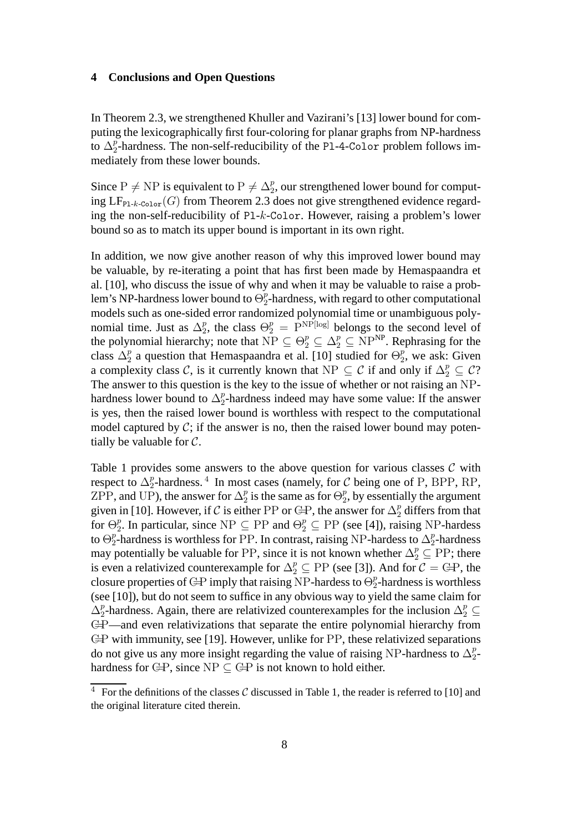#### **4 Conclusions and Open Questions**

In Theorem 2.3, we strengthened Khuller and Vazirani's [13] lower bound for computing the lexicographically first four-coloring for planar graphs from NP-hardness to  $\Delta_2^p$  $\frac{p}{2}$ -hardness. The non-self-reducibility of the P1-4-Color problem follows immediately from these lower bounds.

Since P  $\neq$  NP is equivalent to P  $\neq \Delta_2^p$ , our strengthened lower bound for computing  $LF_{\text{Pl-}k\text{-}\text{Color}}(G)$  from Theorem 2.3 does not give strengthened evidence regarding the non-self-reducibility of Pl-k-Color. However, raising a problem's lower bound so as to match its upper bound is important in its own right.

In addition, we now give another reason of why this improved lower bound may be valuable, by re-iterating a point that has first been made by Hemaspaandra et al. [10], who discuss the issue of why and when it may be valuable to raise a problem's NP-hardness lower bound to  $\Theta_2^p$  $_2^p$ -hardness, with regard to other computational models such as one-sided error randomized polynomial time or unambiguous polynomial time. Just as  $\Delta_2^p$  $P_2$ , the class  $\Theta_2^p = \overline{P}^{\text{NP[log]}}$  belongs to the second level of the polynomial hierarchy; note that  $NP \subseteq \Theta_2^p \subseteq \Delta_2^p \subseteq NP^{NP}$ . Rephrasing for the class  $\Delta_2^p$  a question that Hemaspaandra et al. [10] studied for  $\Theta_2^p$  $_2^p$ , we ask: Given a complexity class C, is it currently known that NP  $\subseteq$  C if and only if  $\Delta_2^p \subseteq C$ ? The answer to this question is the key to the issue of whether or not raising an NPhardness lower bound to  $\Delta_2^p$  $_2^p$ -hardness indeed may have some value: If the answer is yes, then the raised lower bound is worthless with respect to the computational model captured by  $C$ ; if the answer is no, then the raised lower bound may potentially be valuable for  $C$ .

Table 1 provides some answers to the above question for various classes  $C$  with respect to  $\Delta_2^p$  $_{2}^{p}$ -hardness.<sup>4</sup> In most cases (namely, for C being one of P, BPP, RP, ZPP, and UP), the answer for  $\Delta_2^p$  $\frac{p}{2}$  is the same as for  $\Theta_2^p$  $_2^p$ , by essentially the argument given in [10]. However, if  $\mathcal C$  is either PP or  $\bigoplus$  answer for  $\Delta_2^p$  differs from that for  $\Theta_2^p$ <sup>p</sup><sub>2</sub>. In particular, since NP  $\subseteq$  PP and  $\Theta_2^p \subseteq$  PP (see [4]), raising NP-hardess to  $\Theta_2^p$  $\frac{p}{2}$ -hardness is worthless for PP. In contrast, raising NP-hardess to  $\Delta_2^p$  $_2^p$ -hardness may potentially be valuable for PP, since it is not known whether  $\Delta_2^p \subseteq \text{PP}$ ; there is even a relativized counterexample for  $\Delta_2^p \subseteq PP$  (see [3]). And for  $C = \mathbb{C}P$ , the closure properties of GP imply that raising NP-hardess to  $\Theta_2^p$  $_2^p$ -hardness is worthless (see [10]), but do not seem to suffice in any obvious way to yield the same claim for  $\Delta_2^p$  $\frac{p}{2}$ -hardness. Again, there are relativized counterexamples for the inclusion  $\Delta_2^p \subseteq$ C=P—and even relativizations that separate the entire polynomial hierarchy from C=P with immunity, see [19]. However, unlike for PP, these relativized separations do not give us any more insight regarding the value of raising NP-hardness to  $\Delta_2^p$  $\frac{p}{2}$ hardness for  $\bigoplus$ , since NP  $\subset \bigoplus$  is not known to hold either.

<sup>&</sup>lt;sup>4</sup> For the definitions of the classes C discussed in Table 1, the reader is referred to [10] and the original literature cited therein.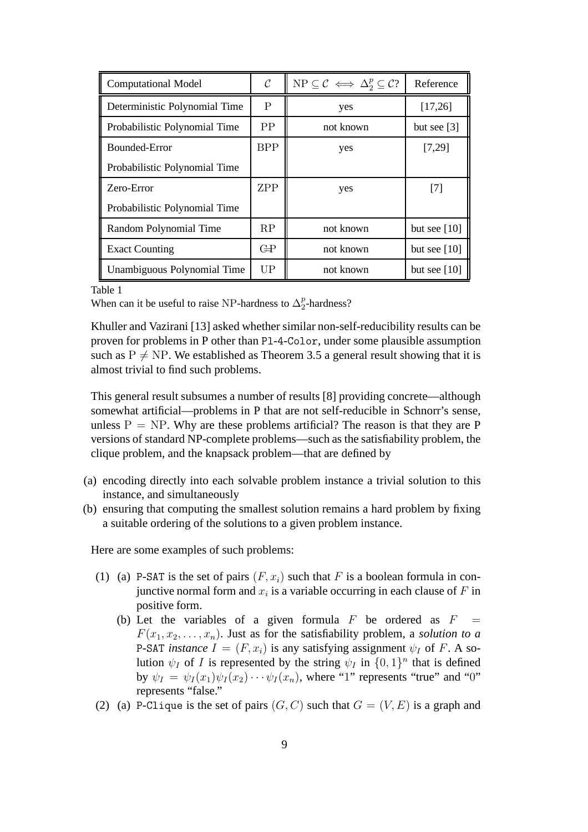| <b>Computational Model</b>    | $\mathcal{C}_{0}$      | $NP \subseteq C \iff \Delta_2^p \subseteq C?$ | Reference      |
|-------------------------------|------------------------|-----------------------------------------------|----------------|
| Deterministic Polynomial Time | P                      | yes                                           | [17,26]        |
| Probabilistic Polynomial Time | PP                     | not known                                     | but see $[3]$  |
| Bounded-Error                 | <b>BPP</b>             | yes                                           | [7,29]         |
| Probabilistic Polynomial Time |                        |                                               |                |
| Zero-Error                    | <b>ZPP</b>             | yes                                           | [7]            |
| Probabilistic Polynomial Time |                        |                                               |                |
| Random Polynomial Time        | RP                     | not known                                     | but see $[10]$ |
| <b>Exact Counting</b>         | $\mathbb{G}\mathrm{P}$ | not known                                     | but see $[10]$ |
| Unambiguous Polynomial Time   | UP                     | not known                                     | but see $[10]$ |

#### Table 1

When can it be useful to raise NP-hardness to  $\Delta_2^p$  $n/2$ -hardness?

Khuller and Vazirani [13] asked whether similar non-self-reducibility results can be proven for problems in P other than Pl-4-Color, under some plausible assumption such as  $P \neq NP$ . We established as Theorem 3.5 a general result showing that it is almost trivial to find such problems.

This general result subsumes a number of results [8] providing concrete—although somewhat artificial—problems in P that are not self-reducible in Schnorr's sense, unless  $P = NP$ . Why are these problems artificial? The reason is that they are P versions of standard NP-complete problems—such as the satisfiability problem, the clique problem, and the knapsack problem—that are defined by

- (a) encoding directly into each solvable problem instance a trivial solution to this instance, and simultaneously
- (b) ensuring that computing the smallest solution remains a hard problem by fixing a suitable ordering of the solutions to a given problem instance.

Here are some examples of such problems:

- (1) (a) P-SAT is the set of pairs  $(F, x_i)$  such that F is a boolean formula in conjunctive normal form and  $x_i$  is a variable occurring in each clause of F in positive form.
	- (b) Let the variables of a given formula  $F$  be ordered as  $F$  $F(x_1, x_2, \ldots, x_n)$ . Just as for the satisfiability problem, a *solution to a* **P-SAT** *instance*  $I = (F, x_i)$  is any satisfying assignment  $\psi_I$  of F. A solution  $\psi_I$  of *I* is represented by the string  $\psi_I$  in  $\{0, 1\}^n$  that is defined by  $\psi_I = \psi_I(x_1)\psi_I(x_2)\cdots\psi_I(x_n)$ , where "1" represents "true" and "0" represents "false."
- (2) (a) P-Clique is the set of pairs  $(G, C)$  such that  $G = (V, E)$  is a graph and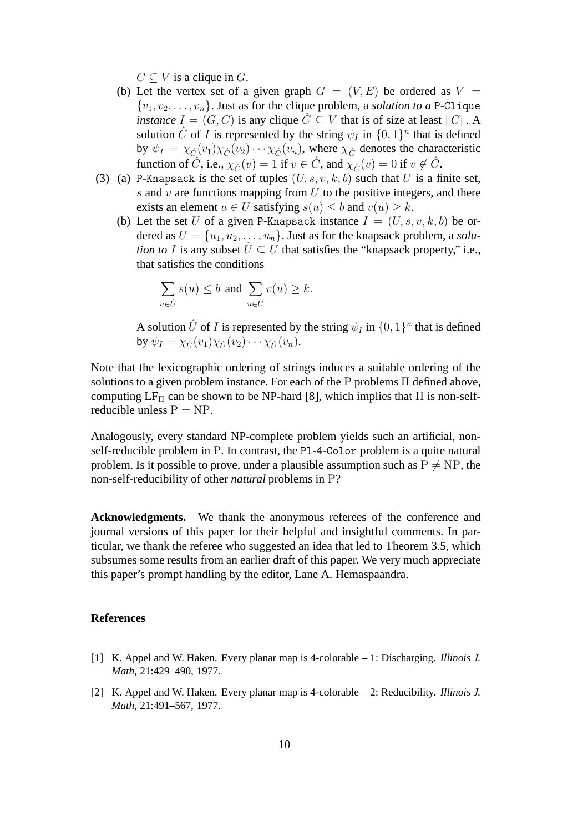$C \subset V$  is a clique in G.

- (b) Let the vertex set of a given graph  $G = (V, E)$  be ordered as  $V =$  $\{v_1, v_2, \ldots, v_n\}$ . Just as for the clique problem, a *solution to a* P-Clique *instance*  $I = (G, C)$  is any clique  $\hat{C} \subseteq V$  that is of size at least  $||C||$ . A solution  $\hat{C}$  of  $\hat{I}$  is represented by the string  $\psi_I$  in  $\{0,1\}^n$  that is defined by  $\psi_I = \chi_{\hat{C}}(v_1) \chi_{\hat{C}}(v_2) \cdots \chi_{\hat{C}}(v_n)$ , where  $\chi_{\hat{C}}$  denotes the characteristic function of  $\hat{C}$ , i.e.,  $\chi_{\hat{C}}(v) = 1$  if  $v \in \hat{C}$ , and  $\chi_{\hat{C}}(v) = 0$  if  $v \notin \hat{C}$ .
- (3) (a) P-Knapsack is the set of tuples  $(U, s, v, k, b)$  such that U is a finite set, s and  $v$  are functions mapping from  $U$  to the positive integers, and there exists an element  $u \in U$  satisfying  $s(u) \leq b$  and  $v(u) \geq k$ .
	- (b) Let the set U of a given P-Knapsack instance  $I = (U, s, v, k, b)$  be ordered as  $U = \{u_1, u_2, \dots, u_n\}$ . Just as for the knapsack problem, a *solution to* I is any subset  $\hat{U} \subseteq U$  that satisfies the "knapsack property," i.e., that satisfies the conditions

$$
\sum_{u \in \hat{U}} s(u) \le b \text{ and } \sum_{u \in \hat{U}} v(u) \ge k.
$$

A solution  $\hat{U}$  of *I* is represented by the string  $\psi_I$  in  $\{0,1\}^n$  that is defined by  $\psi_I = \chi_{\hat{U}}(v_1) \chi_{\hat{U}}(v_2) \cdots \chi_{\hat{U}}(v_n)$ .

Note that the lexicographic ordering of strings induces a suitable ordering of the solutions to a given problem instance. For each of the P problems Π defined above, computing  $LF_{\Pi}$  can be shown to be NP-hard [8], which implies that  $\Pi$  is non-selfreducible unless  $P = NP$ .

Analogously, every standard NP-complete problem yields such an artificial, nonself-reducible problem in P. In contrast, the Pl-4-Color problem is a quite natural problem. Is it possible to prove, under a plausible assumption such as  $P \neq NP$ , the non-self-reducibility of other *natural* problems in P?

**Acknowledgments.** We thank the anonymous referees of the conference and journal versions of this paper for their helpful and insightful comments. In particular, we thank the referee who suggested an idea that led to Theorem 3.5, which subsumes some results from an earlier draft of this paper. We very much appreciate this paper's prompt handling by the editor, Lane A. Hemaspaandra.

## **References**

- [1] K. Appel and W. Haken. Every planar map is 4-colorable 1: Discharging. *Illinois J. Math*, 21:429–490, 1977.
- [2] K. Appel and W. Haken. Every planar map is 4-colorable 2: Reducibility. *Illinois J. Math*, 21:491–567, 1977.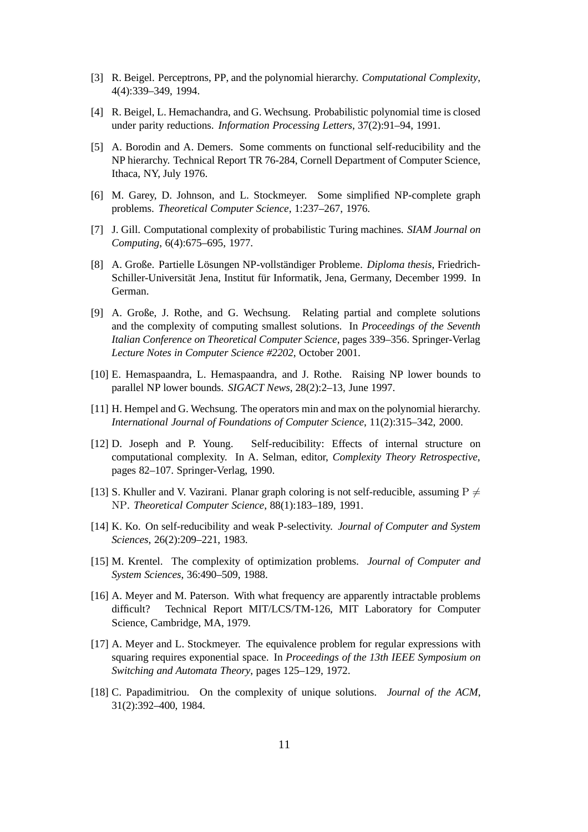- [3] R. Beigel. Perceptrons, PP, and the polynomial hierarchy. *Computational Complexity*, 4(4):339–349, 1994.
- [4] R. Beigel, L. Hemachandra, and G. Wechsung. Probabilistic polynomial time is closed under parity reductions. *Information Processing Letters*, 37(2):91–94, 1991.
- [5] A. Borodin and A. Demers. Some comments on functional self-reducibility and the NP hierarchy. Technical Report TR 76-284, Cornell Department of Computer Science, Ithaca, NY, July 1976.
- [6] M. Garey, D. Johnson, and L. Stockmeyer. Some simplified NP-complete graph problems. *Theoretical Computer Science*, 1:237–267, 1976.
- [7] J. Gill. Computational complexity of probabilistic Turing machines. *SIAM Journal on Computing*, 6(4):675–695, 1977.
- [8] A. Große. Partielle Lösungen NP-vollständiger Probleme. *Diploma thesis*, Friedrich-Schiller-Universität Jena, Institut für Informatik, Jena, Germany, December 1999. In German.
- [9] A. Große, J. Rothe, and G. Wechsung. Relating partial and complete solutions and the complexity of computing smallest solutions. In *Proceedings of the Seventh Italian Conference on Theoretical Computer Science*, pages 339–356. Springer-Verlag *Lecture Notes in Computer Science #2202*, October 2001.
- [10] E. Hemaspaandra, L. Hemaspaandra, and J. Rothe. Raising NP lower bounds to parallel NP lower bounds. *SIGACT News*, 28(2):2–13, June 1997.
- [11] H. Hempel and G. Wechsung. The operators min and max on the polynomial hierarchy. *International Journal of Foundations of Computer Science*, 11(2):315–342, 2000.
- [12] D. Joseph and P. Young. Self-reducibility: Effects of internal structure on computational complexity. In A. Selman, editor, *Complexity Theory Retrospective*, pages 82–107. Springer-Verlag, 1990.
- [13] S. Khuller and V. Vazirani. Planar graph coloring is not self-reducible, assuming P  $\neq$ NP. *Theoretical Computer Science*, 88(1):183–189, 1991.
- [14] K. Ko. On self-reducibility and weak P-selectivity. *Journal of Computer and System Sciences*, 26(2):209–221, 1983.
- [15] M. Krentel. The complexity of optimization problems. *Journal of Computer and System Sciences*, 36:490–509, 1988.
- [16] A. Meyer and M. Paterson. With what frequency are apparently intractable problems difficult? Technical Report MIT/LCS/TM-126, MIT Laboratory for Computer Science, Cambridge, MA, 1979.
- [17] A. Meyer and L. Stockmeyer. The equivalence problem for regular expressions with squaring requires exponential space. In *Proceedings of the 13th IEEE Symposium on Switching and Automata Theory*, pages 125–129, 1972.
- [18] C. Papadimitriou. On the complexity of unique solutions. *Journal of the ACM*, 31(2):392–400, 1984.